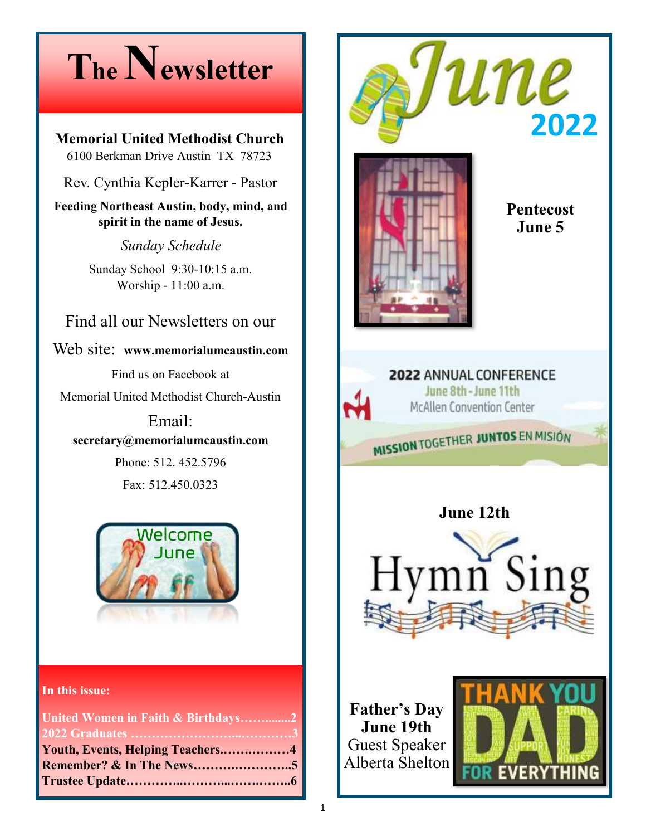### **The Newsletter**

**Memorial United Methodist Church**  6100 Berkman Drive Austin TX 78723

Rev. Cynthia Kepler-Karrer - Pastor

**Feeding Northeast Austin, body, mind, and spirit in the name of Jesus.**

*Sunday Schedule*

Sunday School 9:30-10:15 a.m. Worship - 11:00 a.m.

Find all our Newsletters on our

Web site: **www.memorialumcaustin.com**

Find us on Facebook at

Memorial United Methodist Church-Austin

Email: **secretary@memorialumcaustin.com**

> Phone: 512. 452.5796 Fax: 512.450.0323



**In this issue:**

| United Women in Faith & Birthdays2 |  |
|------------------------------------|--|
|                                    |  |
| Youth, Events, Helping Teachers4   |  |
|                                    |  |
|                                    |  |





**Pentecost June 5**

#### 2022 ANNUAL CONFERENCE June 8th - June 11th

**McAllen Convention Center** 

MISSION TOGETHER JUNTOS EN MISIÓN

**June 12th**



**Father's Day June 19th** Guest Speaker Alberta Shelton

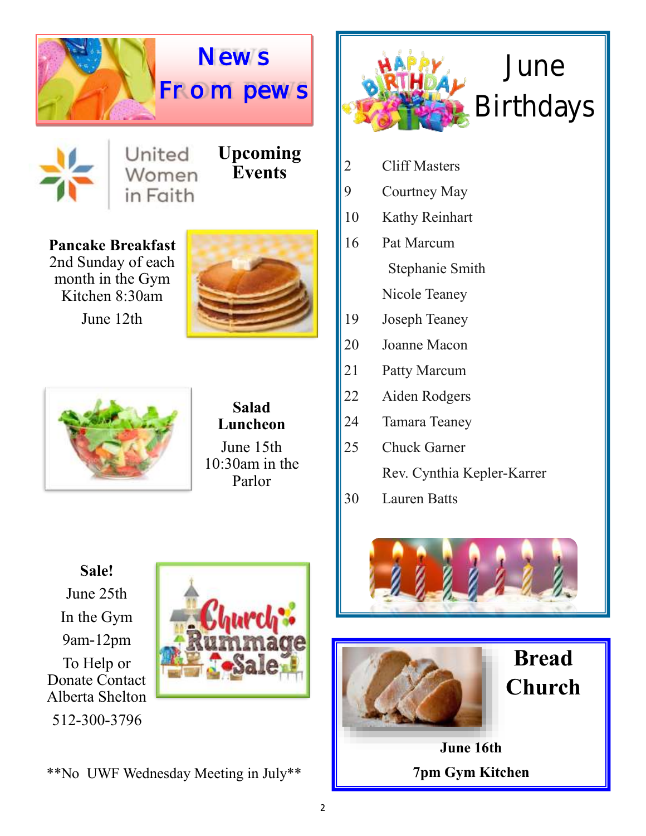

#### United Women in Faith

**Upcoming Events**

**Pancake Breakfast**  2nd Sunday of each month in the Gym Kitchen 8:30am







**Salad Luncheon** 

June 15th 10:30am in the Parlor



- 2 Cliff Masters
- 9 Courtney May
- 10 Kathy Reinhart
- 16 Pat Marcum Stephanie Smith Nicole Teaney
- 19 Joseph Teaney
- 20 Joanne Macon
- 21 Patty Marcum
- 22 Aiden Rodgers
- 24 Tamara Teaney
- 25 Chuck Garner Rev. Cynthia Kepler-Karrer
- 30 Lauren Batts

**Sale!** June 25th In the Gym 9am-12pm To Help or Donate Contact Alberta Shelton 512-300-3796









**Bread Church** 

**June 16th 7pm Gym Kitchen**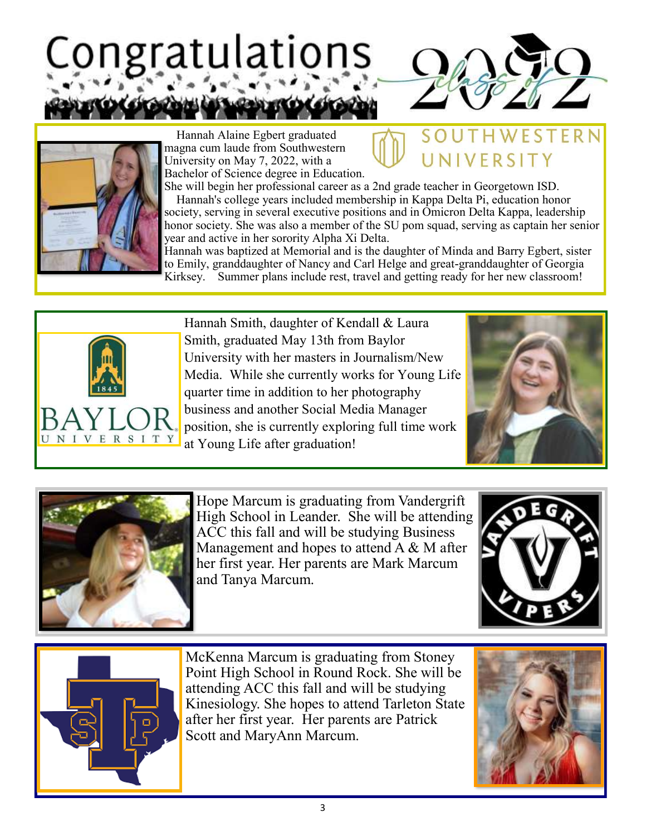## Congratulations



UNIVERSITY

**FSTFRN** 



 Hannah Alaine Egbert graduated magna cum laude from Southwestern University on May 7, 2022, with a Bachelor of Science degree in Education.

She will begin her professional career as a 2nd grade teacher in Georgetown ISD. Hannah's college years included membership in Kappa Delta Pi, education honor society, serving in several executive positions and in Omicron Delta Kappa, leadership honor society. She was also a member of the SU pom squad, serving as captain her senior year and active in her sorority Alpha Xi Delta.

Hannah was baptized at Memorial and is the daughter of Minda and Barry Egbert, sister to Emily, granddaughter of Nancy and Carl Helge and great-granddaughter of Georgia Kirksey. Summer plans include rest, travel and getting ready for her new classroom!



Hannah Smith, daughter of Kendall & Laura Smith, graduated May 13th from Baylor University with her masters in Journalism/New Media. While she currently works for Young Life quarter time in addition to her photography business and another Social Media Manager position, she is currently exploring full time work at Young Life after graduation!





Hope Marcum is graduating from Vandergrift High School in Leander. She will be attending ACC this fall and will be studying Business Management and hopes to attend A & M after her first year. Her parents are Mark Marcum and Tanya Marcum.





McKenna Marcum is graduating from Stoney Point High School in Round Rock. She will be attending ACC this fall and will be studying Kinesiology. She hopes to attend Tarleton State after her first year. Her parents are Patrick Scott and MaryAnn Marcum.

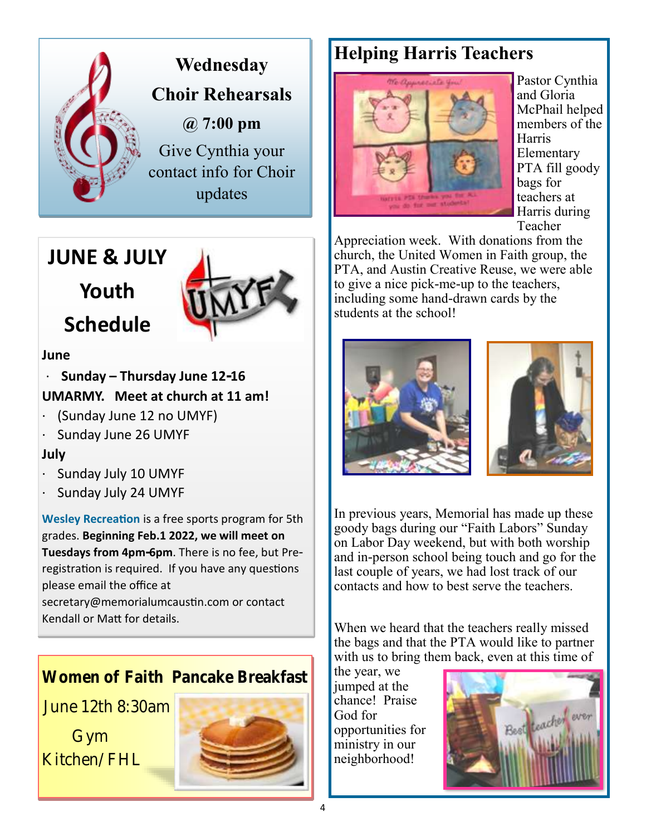



#### **June**

· **Sunday – Thursday June 12-16 UMARMY. Meet at church at 11 am!**

- · (Sunday June 12 no UMYF)
- Sunday June 26 UMYF

#### **July**

- Sunday July 10 UMYF
- Sunday July 24 UMYF

**Wesley Recreation** is a free sports program for 5th grades. **Beginning Feb.1 2022, we will meet on Tuesdays from 4pm-6pm**. There is no fee, but Preregistration is required. If you have any questions please email the office at

secretary@memorialumcaustin.com or contact Kendall or Matt for details.

Women of Faith Pancake Breakfast

June 12th 8:30am

 Gym Kitchen/FHL



#### **Helping Harris Teachers**



Pastor Cynthia and Gloria McPhail helped members of the Harris Elementary PTA fill goody bags for teachers at Harris during Teacher

Appreciation week. With donations from the church, the United Women in Faith group, the PTA, and Austin Creative Reuse, we were able to give a nice pick-me-up to the teachers, including some hand-drawn cards by the students at the school!





In previous years, Memorial has made up these goody bags during our "Faith Labors" Sunday on Labor Day weekend, but with both worship and in-person school being touch and go for the last couple of years, we had lost track of our contacts and how to best serve the teachers.

When we heard that the teachers really missed the bags and that the PTA would like to partner with us to bring them back, even at this time of

the year, we jumped at the chance! Praise God for opportunities for ministry in our neighborhood!

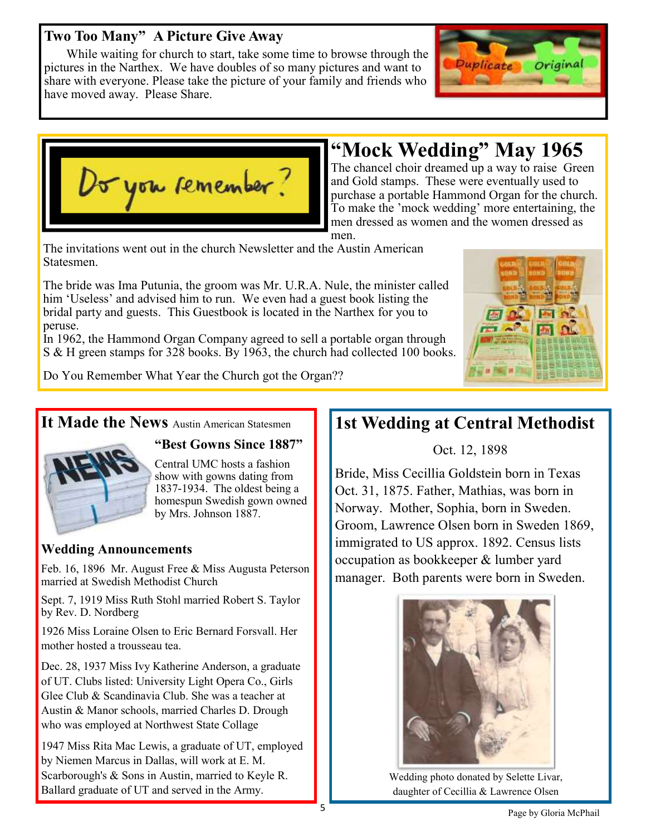#### **Two Too Many" A Picture Give Away**

 While waiting for church to start, take some time to browse through the pictures in the Narthex. We have doubles of so many pictures and want to share with everyone. Please take the picture of your family and friends who have moved away. Please Share.





#### **"Mock Wedding" May 1965**

The chancel choir dreamed up a way to raise Green and Gold stamps. These were eventually used to purchase a portable Hammond Organ for the church. To make the 'mock wedding' more entertaining, the men dressed as women and the women dressed as

men.

The invitations went out in the church Newsletter and the Austin American Statesmen.

The bride was Ima Putunia, the groom was Mr. U.R.A. Nule, the minister called him 'Useless' and advised him to run. We even had a guest book listing the bridal party and guests. This Guestbook is located in the Narthex for you to peruse.

In 1962, the Hammond Organ Company agreed to sell a portable organ through S & H green stamps for 328 books. By 1963, the church had collected 100 books.



Do You Remember What Year the Church got the Organ??

#### It Made the News Austin American Statesmen



#### **"Best Gowns Since 1887"**

Central UMC hosts a fashion show with gowns dating from 1837-1934. The oldest being a homespun Swedish gown owned by Mrs. Johnson 1887.

#### **Wedding Announcements**

Feb. 16, 1896 Mr. August Free & Miss Augusta Peterson married at Swedish Methodist Church

Sept. 7, 1919 Miss Ruth Stohl married Robert S. Taylor by Rev. D. Nordberg

1926 Miss Loraine Olsen to Eric Bernard Forsvall. Her mother hosted a trousseau tea.

Dec. 28, 1937 Miss Ivy Katherine Anderson, a graduate of UT. Clubs listed: University Light Opera Co., Girls Glee Club & Scandinavia Club. She was a teacher at Austin & Manor schools, married Charles D. Drough who was employed at Northwest State Collage

1947 Miss Rita Mac Lewis, a graduate of UT, employed by Niemen Marcus in Dallas, will work at E. M. Scarborough's & Sons in Austin, married to Keyle R. Ballard graduate of UT and served in the Army.

#### **1st Wedding at Central Methodist**

Oct. 12, 1898

Bride, Miss Cecillia Goldstein born in Texas Oct. 31, 1875. Father, Mathias, was born in Norway. Mother, Sophia, born in Sweden. Groom, Lawrence Olsen born in Sweden 1869, immigrated to US approx. 1892. Census lists occupation as bookkeeper & lumber yard manager. Both parents were born in Sweden.



Wedding photo donated by Selette Livar, daughter of Cecillia & Lawrence Olsen